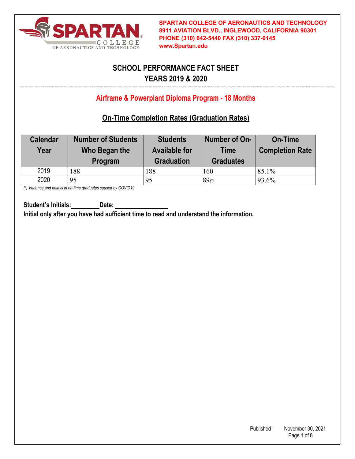

# **SCHOOL PERFORMANCE FACT SHEET YEARS 2019 & 2020**

## **Airframe & Powerplant Diploma Program - 18 Months**

## **On-Time Completion Rates (Graduation Rates)**

| <b>Calendar</b><br>Year | <b>Number of Students</b><br>Who Began the<br>Program | <b>Students</b><br><b>Available for</b><br><b>Graduation</b> | Number of On-<br><b>Time</b><br><b>Graduates</b> | <b>On-Time</b><br><b>Completion Rate</b> |
|-------------------------|-------------------------------------------------------|--------------------------------------------------------------|--------------------------------------------------|------------------------------------------|
| 2019                    | 188                                                   | 188                                                          | 160                                              | 85.1%                                    |
| 2020                    | 95                                                    | 95                                                           | $89^{(*)}$                                       | 93.6%                                    |

*(\*) Variance and delays in on-time graduates caused by COVID19*

Student's Initials: Date:

**Initial only after you have had sufficient time to read and understand the information.**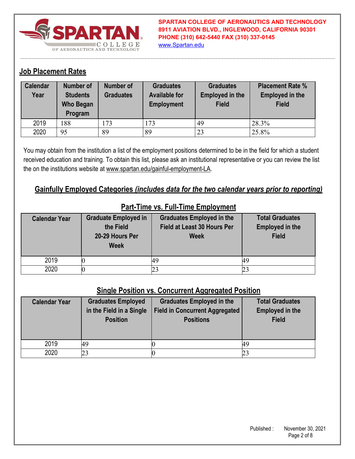

**SPARTAN COLLEGE OF AERONAUTICS AND TECHNOLOGY 8911 AVIATION BLVD., INGLEWOOD, CALIFORNIA 90301 PHONE (310) 642-5440 FAX (310) 337-0145** www.Spartan.edu

#### **Job Placement Rates**

| <b>Calendar</b><br>Year | <b>Number of</b><br><b>Students</b><br>Who Began<br>Program | Number of<br><b>Graduates</b> | <b>Graduates</b><br><b>Available for</b><br><b>Employment</b> | <b>Graduates</b><br><b>Employed in the</b><br><b>Field</b> | <b>Placement Rate %</b><br><b>Employed in the</b><br><b>Field</b> |
|-------------------------|-------------------------------------------------------------|-------------------------------|---------------------------------------------------------------|------------------------------------------------------------|-------------------------------------------------------------------|
| 2019                    | 188                                                         | 173                           | 173                                                           | 49                                                         | 28.3%                                                             |
| 2020                    | 95                                                          | 89                            | 89                                                            | 23                                                         | 25.8%                                                             |

You may obtain from the institution a list of the employment positions determined to be in the field for which a student received education and training. To obtain this list, please ask an institutional representative or you can review the list the on the institutions website at www.spartan.edu/gainful-employment-LA.

#### **Gainfully Employed Categories** *(includes data for the two calendar years prior to reporting)*

| <b>Calendar Year</b> | <b>Graduate Employed in</b><br>the Field<br>20-29 Hours Per<br><b>Week</b> | <b>Graduates Employed in the</b><br>Field at Least 30 Hours Per<br><b>Week</b> | <b>Total Graduates</b><br><b>Employed in the</b><br><b>Field</b> |
|----------------------|----------------------------------------------------------------------------|--------------------------------------------------------------------------------|------------------------------------------------------------------|
| 2019                 |                                                                            | 49                                                                             | 49                                                               |
| 2020                 |                                                                            |                                                                                |                                                                  |

#### **Part-Time vs. Full-Time Employment**

#### **Single Position vs. Concurrent Aggregated Position**

| <b>Calendar Year</b> | <b>Graduates Employed</b><br>in the Field in a Single<br><b>Position</b> | <b>Graduates Employed in the</b><br><b>Field in Concurrent Aggregated</b><br><b>Positions</b> | <b>Total Graduates</b><br><b>Employed in the</b><br><b>Field</b> |
|----------------------|--------------------------------------------------------------------------|-----------------------------------------------------------------------------------------------|------------------------------------------------------------------|
| 2019                 | 49                                                                       |                                                                                               |                                                                  |
| 2020                 | 23                                                                       |                                                                                               |                                                                  |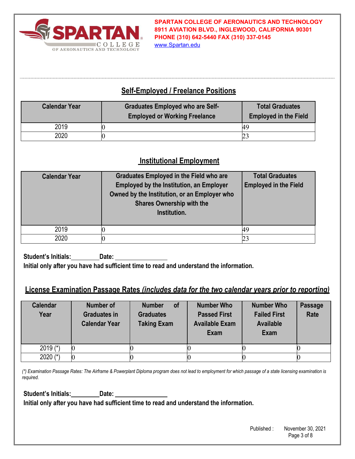

**SPARTAN COLLEGE OF AERONAUTICS AND TECHNOLOGY 8911 AVIATION BLVD., INGLEWOOD, CALIFORNIA 90301 PHONE (310) 642-5440 FAX (310) 337-0145**

www.Spartan.edu

#### **Self-Employed / Freelance Positions**

| <b>Calendar Year</b> | <b>Graduates Employed who are Self-</b><br><b>Employed or Working Freelance</b> | <b>Total Graduates</b><br><b>Employed in the Field</b> |
|----------------------|---------------------------------------------------------------------------------|--------------------------------------------------------|
| 2019                 |                                                                                 | 49                                                     |
| 2020                 |                                                                                 |                                                        |

#### **Institutional Employment**

| <b>Calendar Year</b> | <b>Graduates Employed in the Field who are</b><br><b>Employed by the Institution, an Employer</b><br>Owned by the Institution, or an Employer who<br><b>Shares Ownership with the</b><br>Institution. | <b>Total Graduates</b><br><b>Employed in the Field</b> |
|----------------------|-------------------------------------------------------------------------------------------------------------------------------------------------------------------------------------------------------|--------------------------------------------------------|
| 2019                 |                                                                                                                                                                                                       | 49                                                     |
| 2020                 |                                                                                                                                                                                                       |                                                        |

**Student's Initials: Date: Initial only after you have had sufficient time to read and understand the information.** 

### **License Examination Passage Rates** *(includes data for the two calendar years prior to reporting)*

| <b>Calendar</b><br>Year | Number of<br><b>Graduates in</b><br><b>Calendar Year</b> | <b>of</b><br><b>Number</b><br><b>Graduates</b><br><b>Taking Exam</b> | <b>Number Who</b><br><b>Passed First</b><br><b>Available Exam</b><br>Exam | <b>Number Who</b><br><b>Failed First</b><br><b>Available</b><br>Exam | <b>Passage</b><br>Rate |
|-------------------------|----------------------------------------------------------|----------------------------------------------------------------------|---------------------------------------------------------------------------|----------------------------------------------------------------------|------------------------|
| 2019 $(*)$              |                                                          |                                                                      |                                                                           |                                                                      |                        |
| 2020 $(*)$              |                                                          |                                                                      |                                                                           |                                                                      |                        |

*(\*) Examination Passage Rates: The Airframe & Powerplant Diploma program does not lead to employment for which passage of a state licensing examination is required.* 

**Student's Initials: Date:** 

**Initial only after you have had sufficient time to read and understand the information.**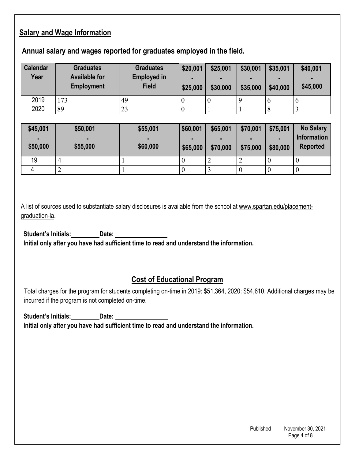### **Salary and Wage Information**

#### **Annual salary and wages reported for graduates employed in the field.**

| <b>Calendar</b><br>Year | <b>Graduates</b><br><b>Available for</b><br><b>Employment</b> | <b>Graduates</b><br><b>Employed in</b><br><b>Field</b> | \$20,001<br>\$25,000 | \$25,001<br>$\blacksquare$<br>\$30,000 | \$30,001<br>\$35,000 | \$35,001<br>$\blacksquare$<br>\$40,000 | \$40,001<br>$\blacksquare$<br>\$45,000 |
|-------------------------|---------------------------------------------------------------|--------------------------------------------------------|----------------------|----------------------------------------|----------------------|----------------------------------------|----------------------------------------|
| 2019                    | 173                                                           | 49                                                     |                      |                                        |                      |                                        | O                                      |
| 2020                    | 89                                                            | 23                                                     |                      |                                        |                      |                                        |                                        |

| \$45,001<br>٠<br>\$50,000 | \$50,001<br>\$55,000 | \$55,001<br>\$60,000 | \$60,001<br>-<br>\$65,000 | \$65,001<br>$\blacksquare$<br>\$70,000 | \$70,001<br>\$75,000 | \$75,001<br>$\blacksquare$<br>\$80,000 | <b>No Salary</b><br><b>Information</b><br><b>Reported</b> |
|---------------------------|----------------------|----------------------|---------------------------|----------------------------------------|----------------------|----------------------------------------|-----------------------------------------------------------|
| 19                        |                      |                      |                           | ∽                                      |                      |                                        |                                                           |
| Д                         | ∽                    |                      | ν                         |                                        |                      |                                        |                                                           |

A list of sources used to substantiate salary disclosures is available from the school at www.spartan.edu/placementgraduation-la.

**Student's Initials: Date: Initial only after you have had sufficient time to read and understand the information.** 

### **Cost of Educational Program**

Total charges for the program for students completing on-time in 2019: \$51,364, 2020: \$54,610. Additional charges may be incurred if the program is not completed on-time.

**Student's Initials: Date: Initial only after you have had sufficient time to read and understand the information.**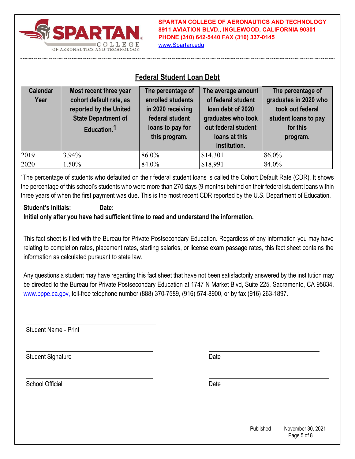

**SPARTAN COLLEGE OF AERONAUTICS AND TECHNOLOGY 8911 AVIATION BLVD., INGLEWOOD, CALIFORNIA 90301 PHONE (310) 642-5440 FAX (310) 337-0145** www.Spartan.edu

#### **Federal Student Loan Debt**

| <b>Calendar</b><br>Year | Most recent three year<br>cohort default rate, as<br>reported by the United<br><b>State Department of</b><br>Education. <sup>1</sup> | The percentage of<br>enrolled students<br>in 2020 receiving<br>federal student<br>loans to pay for<br>this program. | The average amount<br>of federal student<br>loan debt of 2020<br>graduates who took<br>out federal student<br>loans at this<br>institution. | The percentage of<br>graduates in 2020 who<br>took out federal<br>student loans to pay<br>for this<br>program. |
|-------------------------|--------------------------------------------------------------------------------------------------------------------------------------|---------------------------------------------------------------------------------------------------------------------|---------------------------------------------------------------------------------------------------------------------------------------------|----------------------------------------------------------------------------------------------------------------|
| 2019                    | 3.94%                                                                                                                                | 86.0%                                                                                                               | \$14,301                                                                                                                                    | 86.0%                                                                                                          |
| 2020                    | 1.50%                                                                                                                                | 84.0%                                                                                                               | \$18,991                                                                                                                                    | 84.0%                                                                                                          |

1The percentage of students who defaulted on their federal student loans is called the Cohort Default Rate (CDR). It shows the percentage of this school's students who were more than 270 days (9 months) behind on their federal student loans within three years of when the first payment was due. This is the most recent CDR reported by the U.S. Department of Education.

#### **Student's Initials: Date: Initial only after you have had sufficient time to read and understand the information.**

This fact sheet is filed with the Bureau for Private Postsecondary Education. Regardless of any information you may have relating to completion rates, placement rates, starting salaries, or license exam passage rates, this fact sheet contains the information as calculated pursuant to state law.

Any questions a student may have regarding this fact sheet that have not been satisfactorily answered by the institution may be directed to the Bureau for Private Postsecondary Education at 1747 N Market Blvd, Suite 225, Sacramento, CA 95834, www.bppe.ca.gov, toll-free telephone number (888) 370-7589, (916) 574-8900, or by fax (916) 263-1897.

Student Name - Print

Student Signature Date Date Controller and Date Date Date

School Official Date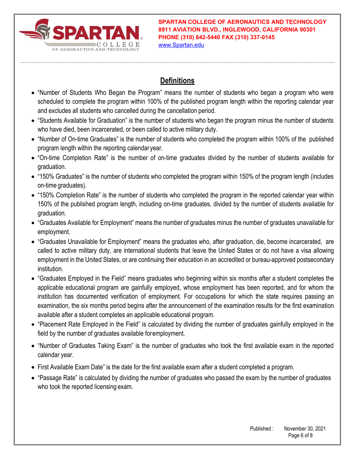

**SPARTAN COLLEGE OF AERONAUTICS AND TECHNOLOGY 8911 AVIATION BLVD., INGLEWOOD, CALIFORNIA 90301 PHONE (310) 642-5440 FAX (310) 337-0145** www.Spartan.edu

### **Definitions**

- "Number of Students Who Began the Program" means the number of students who began a program who were scheduled to complete the program within 100% of the published program length within the reporting calendar year and excludes all students who cancelled during the cancellation period.
- "Students Available for Graduation" is the number of students who began the program minus the number of students who have died, been incarcerated, or been called to active military duty.
- "Number of On-time Graduates" is the number of students who completed the program within 100% of the published program length within the reporting calendar year.
- "On-time Completion Rate" is the number of on-time graduates divided by the number of students available for graduation.
- "150% Graduates" is the number of students who completed the program within 150% of the program length (includes on-time graduates).
- "150% Completion Rate" is the number of students who completed the program in the reported calendar year within 150% of the published program length, including on-time graduates, divided by the number of students available for graduation.
- "Graduates Available for Employment" means the number of graduates minus the number of graduates unavailable for employment.
- "Graduates Unavailable for Employment" means the graduates who, after graduation, die, become incarcerated, are called to active military duty, are international students that leave the United States or do not have a visa allowing employment in the United States, or are continuing their education in an accredited or bureau-approved postsecondary institution.
- "Graduates Employed in the Field" means graduates who beginning within six months after a student completes the applicable educational program are gainfully employed, whose employment has been reported, and for whom the institution has documented verification of employment. For occupations for which the state requires passing an examination, the six months period begins after the announcement of the examination results for the first examination available after a student completes an applicable educational program.
- "Placement Rate Employed in the Field" is calculated by dividing the number of graduates gainfully employed in the field by the number of graduates available for employment.
- "Number of Graduates Taking Exam" is the number of graduates who took the first available exam in the reported calendar year.
- First Available Exam Date" is the date for the first available exam after a student completed a program.
- "Passage Rate" is calculated by dividing the number of graduates who passed the exam by the number of graduates who took the reported licensing exam.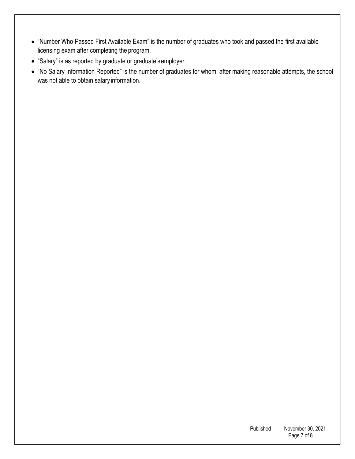- "Number Who Passed First Available Exam" is the number of graduates who took and passed the first available licensing exam after completing the program.
- "Salary" is as reported by graduate or graduate's employer.
- "No Salary Information Reported" is the number of graduates for whom, after making reasonable attempts, the school was not able to obtain salary information.